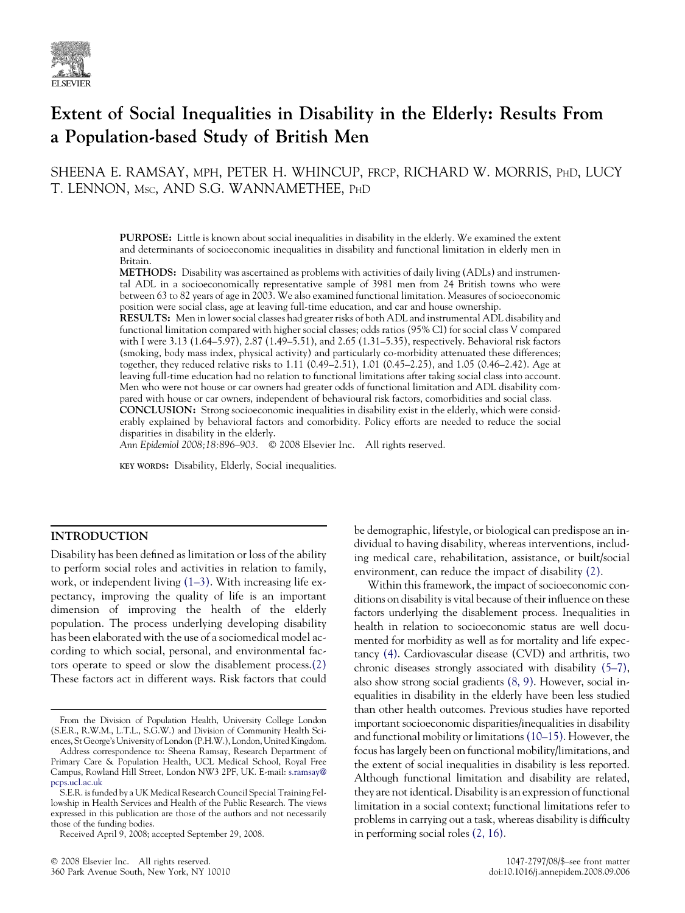

# Extent of Social Inequalities in Disability in the Elderly: Results From a Population-based Study of British Men

## SHEENA E. RAMSAY, MPH, PETER H. WHINCUP, FRCP, RICHARD W. MORRIS, PHD, LUCY T. LENNON, MSC, AND S.G. WANNAMETHEE, PHD

PURPOSE: Little is known about social inequalities in disability in the elderly. We examined the extent and determinants of socioeconomic inequalities in disability and functional limitation in elderly men in Britain.

METHODS: Disability was ascertained as problems with activities of daily living (ADLs) and instrumental ADL in a socioeconomically representative sample of 3981 men from 24 British towns who were between 63 to 82 years of age in 2003. We also examined functional limitation. Measures of socioeconomic position were social class, age at leaving full-time education, and car and house ownership.

RESULTS: Men in lower social classes had greater risks of both ADL and instrumental ADL disability and functional limitation compared with higher social classes; odds ratios (95% CI) for social class V compared with I were 3.13 (1.64–5.97), 2.87 (1.49–5.51), and 2.65 (1.31–5.35), respectively. Behavioral risk factors (smoking, body mass index, physical activity) and particularly co-morbidity attenuated these differences; together, they reduced relative risks to 1.11 (0.49–2.51), 1.01 (0.45–2.25), and 1.05 (0.46–2.42). Age at leaving full-time education had no relation to functional limitations after taking social class into account. Men who were not house or car owners had greater odds of functional limitation and ADL disability compared with house or car owners, independent of behavioural risk factors, comorbidities and social class. CONCLUSION: Strong socioeconomic inequalities in disability exist in the elderly, which were considerably explained by behavioral factors and comorbidity. Policy efforts are needed to reduce the social disparities in disability in the elderly.

Ann Epidemiol 2008;18:896–903. © 2008 Elsevier Inc. All rights reserved.

KEY WORDS: Disability, Elderly, Social inequalities.

### INTRODUCTION

Disability has been defined as limitation or loss of the ability to perform social roles and activities in relation to family, work, or independent living [\(1–3\)](#page-6-0). With increasing life expectancy, improving the quality of life is an important dimension of improving the health of the elderly population. The process underlying developing disability has been elaborated with the use of a sociomedical model according to which social, personal, and environmental factors operate to speed or slow the disablement process[.\(2\)](#page-6-0) These factors act in different ways. Risk factors that could

be demographic, lifestyle, or biological can predispose an individual to having disability, whereas interventions, including medical care, rehabilitation, assistance, or built/social environment, can reduce the impact of disability [\(2\).](#page-6-0)

Within this framework, the impact of socioeconomic conditions on disability is vital because of their influence on these factors underlying the disablement process. Inequalities in health in relation to socioeconomic status are well documented for morbidity as well as for mortality and life expectancy [\(4\).](#page-6-0) Cardiovascular disease (CVD) and arthritis, two chronic diseases strongly associated with disability [\(5–7\),](#page-6-0) also show strong social gradients [\(8, 9\).](#page-6-0) However, social inequalities in disability in the elderly have been less studied than other health outcomes. Previous studies have reported important socioeconomic disparities/inequalities in disability and functional mobility or limitations[\(10–15\)](#page-6-0). However, the focus has largely been on functional mobility/limitations, and the extent of social inequalities in disability is less reported. Although functional limitation and disability are related, they are not identical. Disability is an expression of functional limitation in a social context; functional limitations refer to problems in carrying out a task, whereas disability is difficulty in performing social roles [\(2, 16\)](#page-6-0).

From the Division of Population Health, University College London (S.E.R., R.W.M., L.T.L., S.G.W.) and Division of Community Health Sciences, St George's University of London (P.H.W.), London, United Kingdom.

Address correspondence to: Sheena Ramsay, Research Department of Primary Care & Population Health, UCL Medical School, Royal Free Campus, Rowland Hill Street, London NW3 2PF, UK. E-mail: [s.ramsay@](mailto:s.ramsay@pcps.ucl.ac.uk) [pcps.ucl.ac.uk](mailto:s.ramsay@pcps.ucl.ac.uk)

S.E.R. is funded by a UK Medical Research Council Special Training Fellowship in Health Services and Health of the Public Research. The views expressed in this publication are those of the authors and not necessarily those of the funding bodies.

Received April 9, 2008; accepted September 29, 2008.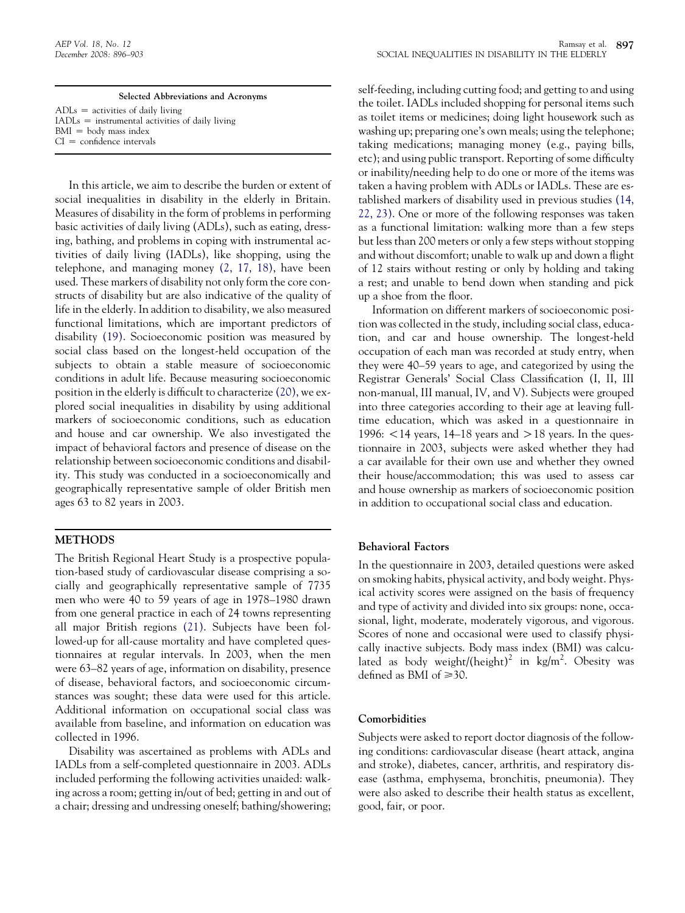| Selected Abbreviations and Acronyms               |
|---------------------------------------------------|
| $ADLs =$ activities of daily living               |
| $IADLs =$ instrumental activities of daily living |
| $BMI = body$ mass index                           |
| $CI =$ confidence intervals                       |

In this article, we aim to describe the burden or extent of social inequalities in disability in the elderly in Britain. Measures of disability in the form of problems in performing basic activities of daily living (ADLs), such as eating, dressing, bathing, and problems in coping with instrumental activities of daily living (IADLs), like shopping, using the telephone, and managing money [\(2, 17, 18\),](#page-6-0) have been used. These markers of disability not only form the core constructs of disability but are also indicative of the quality of life in the elderly. In addition to disability, we also measured functional limitations, which are important predictors of disability [\(19\).](#page-6-0) Socioeconomic position was measured by social class based on the longest-held occupation of the subjects to obtain a stable measure of socioeconomic conditions in adult life. Because measuring socioeconomic position in the elderly is difficult to characterize [\(20\),](#page-6-0) we explored social inequalities in disability by using additional markers of socioeconomic conditions, such as education and house and car ownership. We also investigated the impact of behavioral factors and presence of disease on the relationship between socioeconomic conditions and disability. This study was conducted in a socioeconomically and geographically representative sample of older British men ages 63 to 82 years in 2003.

## METHODS

The British Regional Heart Study is a prospective population-based study of cardiovascular disease comprising a socially and geographically representative sample of 7735 men who were 40 to 59 years of age in 1978–1980 drawn from one general practice in each of 24 towns representing all major British regions [\(21\)](#page-6-0). Subjects have been followed-up for all-cause mortality and have completed questionnaires at regular intervals. In 2003, when the men were 63–82 years of age, information on disability, presence of disease, behavioral factors, and socioeconomic circumstances was sought; these data were used for this article. Additional information on occupational social class was available from baseline, and information on education was collected in 1996.

Disability was ascertained as problems with ADLs and IADLs from a self-completed questionnaire in 2003. ADLs included performing the following activities unaided: walking across a room; getting in/out of bed; getting in and out of a chair; dressing and undressing oneself; bathing/showering;

self-feeding, including cutting food; and getting to and using the toilet. IADLs included shopping for personal items such as toilet items or medicines; doing light housework such as washing up; preparing one's own meals; using the telephone; taking medications; managing money (e.g., paying bills, etc); and using public transport. Reporting of some difficulty or inability/needing help to do one or more of the items was taken a having problem with ADLs or IADLs. These are established markers of disability used in previous studies [\(14,](#page-6-0) [22, 23\)](#page-6-0). One or more of the following responses was taken as a functional limitation: walking more than a few steps but less than 200 meters or only a few steps without stopping and without discomfort; unable to walk up and down a flight of 12 stairs without resting or only by holding and taking a rest; and unable to bend down when standing and pick up a shoe from the floor.

Information on different markers of socioeconomic position was collected in the study, including social class, education, and car and house ownership. The longest-held occupation of each man was recorded at study entry, when they were 40–59 years to age, and categorized by using the Registrar Generals' Social Class Classification (I, II, III non-manual, III manual, IV, and V). Subjects were grouped into three categories according to their age at leaving fulltime education, which was asked in a questionnaire in 1996:  $\lt 14$  years, 14–18 years and  $> 18$  years. In the questionnaire in 2003, subjects were asked whether they had a car available for their own use and whether they owned their house/accommodation; this was used to assess car and house ownership as markers of socioeconomic position in addition to occupational social class and education.

#### Behavioral Factors

In the questionnaire in 2003, detailed questions were asked on smoking habits, physical activity, and body weight. Physical activity scores were assigned on the basis of frequency and type of activity and divided into six groups: none, occasional, light, moderate, moderately vigorous, and vigorous. Scores of none and occasional were used to classify physically inactive subjects. Body mass index (BMI) was calculated as body weight/(height)<sup>2</sup> in kg/m<sup>2</sup>. Obesity was defined as BMI of  $\geq 30$ .

#### Comorbidities

Subjects were asked to report doctor diagnosis of the following conditions: cardiovascular disease (heart attack, angina and stroke), diabetes, cancer, arthritis, and respiratory disease (asthma, emphysema, bronchitis, pneumonia). They were also asked to describe their health status as excellent, good, fair, or poor.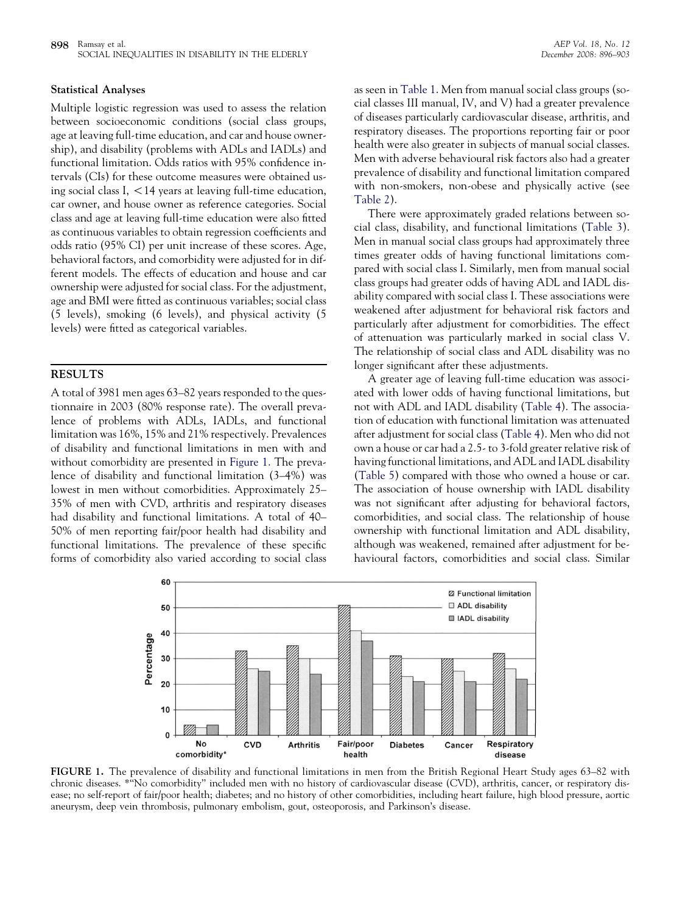Multiple logistic regression was used to assess the relation between socioeconomic conditions (social class groups, age at leaving full-time education, and car and house ownership), and disability (problems with ADLs and IADLs) and functional limitation. Odds ratios with 95% confidence intervals (CIs) for these outcome measures were obtained using social class  $I_1$ , <14 years at leaving full-time education, car owner, and house owner as reference categories. Social class and age at leaving full-time education were also fitted as continuous variables to obtain regression coefficients and odds ratio (95% CI) per unit increase of these scores. Age, behavioral factors, and comorbidity were adjusted for in different models. The effects of education and house and car ownership were adjusted for social class. For the adjustment, age and BMI were fitted as continuous variables; social class (5 levels), smoking (6 levels), and physical activity (5 levels) were fitted as categorical variables.

## RESULTS

A total of 3981 men ages 63–82 years responded to the questionnaire in 2003 (80% response rate). The overall prevalence of problems with ADLs, IADLs, and functional limitation was 16%, 15% and 21% respectively. Prevalences of disability and functional limitations in men with and without comorbidity are presented in Figure 1. The prevalence of disability and functional limitation (3–4%) was lowest in men without comorbidities. Approximately 25– 35% of men with CVD, arthritis and respiratory diseases had disability and functional limitations. A total of 40– 50% of men reporting fair/poor health had disability and functional limitations. The prevalence of these specific forms of comorbidity also varied according to social class as seen in [Table 1.](#page-3-0) Men from manual social class groups (social classes III manual, IV, and V) had a greater prevalence of diseases particularly cardiovascular disease, arthritis, and respiratory diseases. The proportions reporting fair or poor health were also greater in subjects of manual social classes. Men with adverse behavioural risk factors also had a greater prevalence of disability and functional limitation compared with non-smokers, non-obese and physically active (see [Table 2](#page-3-0)).

There were approximately graded relations between social class, disability, and functional limitations ([Table 3\)](#page-4-0). Men in manual social class groups had approximately three times greater odds of having functional limitations compared with social class I. Similarly, men from manual social class groups had greater odds of having ADL and IADL disability compared with social class I. These associations were weakened after adjustment for behavioral risk factors and particularly after adjustment for comorbidities. The effect of attenuation was particularly marked in social class V. The relationship of social class and ADL disability was no longer significant after these adjustments.

A greater age of leaving full-time education was associated with lower odds of having functional limitations, but not with ADL and IADL disability [\(Table 4\)](#page-4-0). The association of education with functional limitation was attenuated after adjustment for social class ([Table 4](#page-4-0)). Men who did not own a house or car had a 2.5- to 3-fold greater relative risk of having functional limitations, and ADL and IADL disability ([Table 5](#page-5-0)) compared with those who owned a house or car. The association of house ownership with IADL disability was not significant after adjusting for behavioral factors, comorbidities, and social class. The relationship of house ownership with functional limitation and ADL disability, although was weakened, remained after adjustment for behavioural factors, comorbidities and social class. Similar



FIGURE 1. The prevalence of disability and functional limitations in men from the British Regional Heart Study ages 63–82 with chronic diseases. \*''No comorbidity'' included men with no history of cardiovascular disease (CVD), arthritis, cancer, or respiratory disease; no self-report of fair/poor health; diabetes; and no history of other comorbidities, including heart failure, high blood pressure, aortic aneurysm, deep vein thrombosis, pulmonary embolism, gout, osteoporosis, and Parkinson's disease.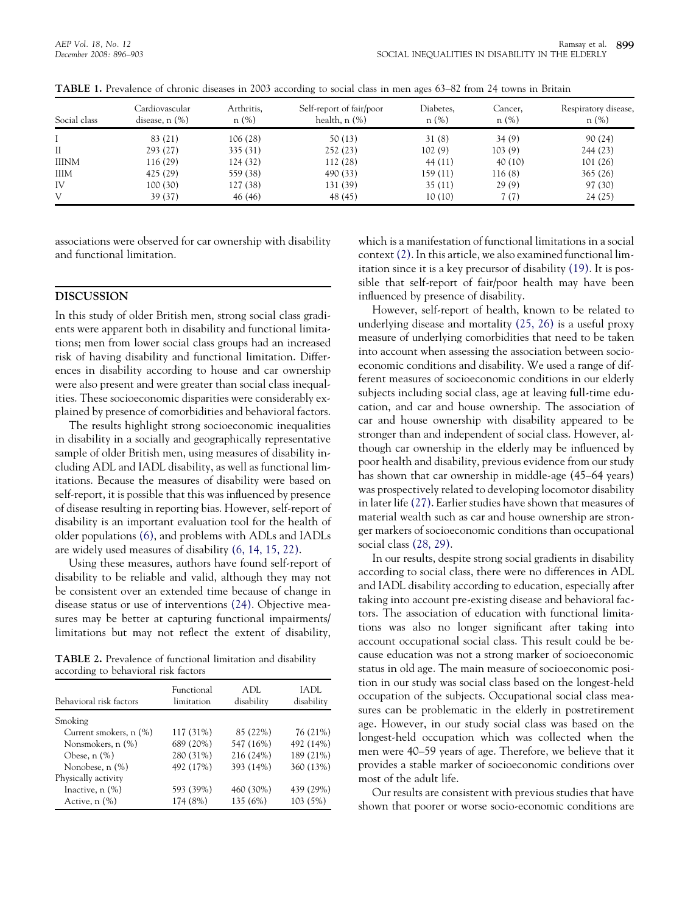| Social class | Cardiovascular<br>disease, $n$ $(\%)$ | Arthritis,<br>n(%) | Self-report of fair/poor<br>health, $n$ $(\%)$ | Diabetes,<br>n(%) | Cancer,<br>n(%) | Respiratory disease,<br>$n$ (%) |
|--------------|---------------------------------------|--------------------|------------------------------------------------|-------------------|-----------------|---------------------------------|
|              | 83 (21)                               | 106 (28)           | 50(13)                                         | 31(8)             | 34(9)           | 90(24)                          |
| $\rm{II}$    | 293(27)                               | 335 (31)           | 252(23)                                        | 102(9)            | 103(9)          | 244 (23)                        |
| <b>IIINM</b> | 116(29)                               | 124 (32)           | 112 (28)                                       | 44 (11)           | 40 (10)         | 101(26)                         |
| <b>IIIM</b>  | 425 (29)                              | 559 (38)           | 490 (33)                                       | 159 (11)          | 116(8)          | 365(26)                         |
| IV           | 100 (30)                              | 127 (38)           | 131 (39)                                       | 35(11)            | 29(9)           | 97 (30)                         |
| V            | 39 (37)                               | 46 (46)            | 48 (45)                                        | 10(10)            | 7 (7)           | 24 (25)                         |

<span id="page-3-0"></span>TABLE 1. Prevalence of chronic diseases in 2003 according to social class in men ages 63–82 from 24 towns in Britain

associations were observed for car ownership with disability and functional limitation.

#### DISCUSSION

In this study of older British men, strong social class gradients were apparent both in disability and functional limitations; men from lower social class groups had an increased risk of having disability and functional limitation. Differences in disability according to house and car ownership were also present and were greater than social class inequalities. These socioeconomic disparities were considerably explained by presence of comorbidities and behavioral factors.

The results highlight strong socioeconomic inequalities in disability in a socially and geographically representative sample of older British men, using measures of disability including ADL and IADL disability, as well as functional limitations. Because the measures of disability were based on self-report, it is possible that this was influenced by presence of disease resulting in reporting bias. However, self-report of disability is an important evaluation tool for the health of older populations [\(6\)](#page-6-0), and problems with ADLs and IADLs are widely used measures of disability [\(6, 14, 15, 22\)](#page-6-0).

Using these measures, authors have found self-report of disability to be reliable and valid, although they may not be consistent over an extended time because of change in disease status or use of interventions [\(24\)](#page-6-0). Objective measures may be better at capturing functional impairments/ limitations but may not reflect the extent of disability,

TABLE 2. Prevalence of functional limitation and disability according to behavioral risk factors

| Behavioral risk factors | Functional<br>limitation | ADL<br>disability | IADL<br>disability |
|-------------------------|--------------------------|-------------------|--------------------|
| Smoking                 |                          |                   |                    |
| Current smokers, n (%)  | 117 (31%)                | 85 (22%)          | 76 (21%)           |
| Nonsmokers, n (%)       | 689 (20%)                | 547 (16%)         | 492 (14%)          |
| Obese, $n$ $(\%)$       | 280 (31%)                | 216 (24%)         | 189 (21%)          |
| Nonobese, n (%)         | 492 (17%)                | 393 (14%)         | 360 (13%)          |
| Physically activity     |                          |                   |                    |
| Inactive, $n$ $(\%)$    | 593 (39%)                | 460 (30%)         | 439 (29%)          |
| Active, n (%)           | 174 (8%)                 | 135 (6%)          | 103 (5%)           |

which is a manifestation of functional limitations in a social context[\(2\)](#page-6-0). In this article, we also examined functional limitation since it is a key precursor of disability [\(19\).](#page-6-0) It is possible that self-report of fair/poor health may have been influenced by presence of disability.

However, self-report of health, known to be related to underlying disease and mortality [\(25, 26\)](#page-6-0) is a useful proxy measure of underlying comorbidities that need to be taken into account when assessing the association between socioeconomic conditions and disability. We used a range of different measures of socioeconomic conditions in our elderly subjects including social class, age at leaving full-time education, and car and house ownership. The association of car and house ownership with disability appeared to be stronger than and independent of social class. However, although car ownership in the elderly may be influenced by poor health and disability, previous evidence from our study has shown that car ownership in middle-age (45–64 years) was prospectively related to developing locomotor disability in later life [\(27\).](#page-6-0) Earlier studies have shown that measures of material wealth such as car and house ownership are stronger markers of socioeconomic conditions than occupational social class [\(28, 29\)](#page-6-0).

In our results, despite strong social gradients in disability according to social class, there were no differences in ADL and IADL disability according to education, especially after taking into account pre-existing disease and behavioral factors. The association of education with functional limitations was also no longer significant after taking into account occupational social class. This result could be because education was not a strong marker of socioeconomic status in old age. The main measure of socioeconomic position in our study was social class based on the longest-held occupation of the subjects. Occupational social class measures can be problematic in the elderly in postretirement age. However, in our study social class was based on the longest-held occupation which was collected when the men were 40–59 years of age. Therefore, we believe that it provides a stable marker of socioeconomic conditions over most of the adult life.

Our results are consistent with previous studies that have shown that poorer or worse socio-economic conditions are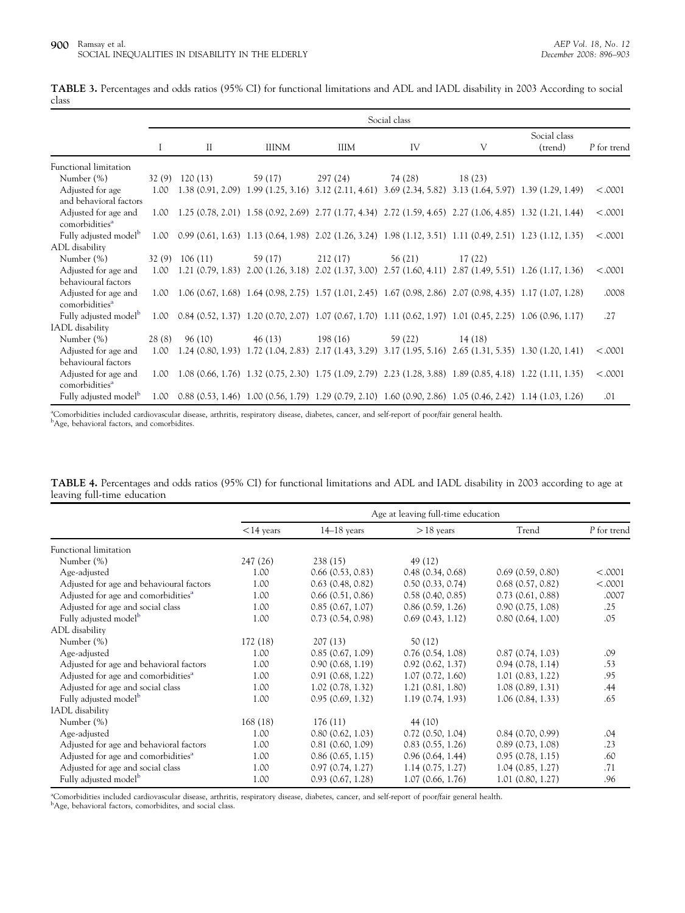<span id="page-4-0"></span>

|       |  |  |  | TABLE 3. Percentages and odds ratios (95% CI) for functional limitations and ADL and IADL disability in 2003 According to social |
|-------|--|--|--|----------------------------------------------------------------------------------------------------------------------------------|
| class |  |  |  |                                                                                                                                  |

|                                                    |       |                  |                                                                                                                         |          | Social class |        |              |             |
|----------------------------------------------------|-------|------------------|-------------------------------------------------------------------------------------------------------------------------|----------|--------------|--------|--------------|-------------|
|                                                    |       |                  |                                                                                                                         |          |              |        | Social class |             |
|                                                    | I     | $\mathcal{I}$    | <b>IIINM</b>                                                                                                            | IIIM     | IV           | V      | (trend)      | P for trend |
| <b>Functional limitation</b>                       |       |                  |                                                                                                                         |          |              |        |              |             |
| Number (%)                                         |       | $32(9)$ 120 (13) | 59 (17)                                                                                                                 | 297 (24) | 74 (28)      | 18(23) |              |             |
| Adjusted for age<br>and behavioral factors         | 1.00  |                  | 1.38 (0.91, 2.09) 1.99 (1.25, 3.16) 3.12 (2.11, 4.61) 3.69 (2.34, 5.82) 3.13 (1.64, 5.97) 1.39 (1.29, 1.49)             |          |              |        |              | < .0001     |
| Adjusted for age and<br>comorbidities <sup>a</sup> | 1.00  |                  | 1.25 (0.78, 2.01) 1.58 (0.92, 2.69) 2.77 (1.77, 4.34) 2.72 (1.59, 4.65) 2.27 (1.06, 4.85) 1.32 (1.21, 1.44)             |          |              |        |              | < .0001     |
| Fully adjusted model <sup>b</sup>                  | 1.00  |                  | $0.99$ (0.61, 1.63) 1.13 (0.64, 1.98) 2.02 (1.26, 3.24) 1.98 (1.12, 3.51) 1.11 (0.49, 2.51) 1.23 (1.12, 1.35)           |          |              |        |              | < .0001     |
| ADL disability                                     |       |                  |                                                                                                                         |          |              |        |              |             |
| Number (%)                                         |       | 32(9)106(11)     | 59 (17)                                                                                                                 | 212 (17) | 56 (21)      | 17(22) |              |             |
| Adjusted for age and                               | 1.00  |                  | 1.21 $(0.79, 1.83)$ 2.00 $(1.26, 3.18)$ 2.02 $(1.37, 3.00)$ 2.57 $(1.60, 4.11)$ 2.87 $(1.49, 5.51)$ 1.26 $(1.17, 1.36)$ |          |              |        |              | < .0001     |
| behavioural factors                                |       |                  |                                                                                                                         |          |              |        |              |             |
| Adjusted for age and<br>comorbidities <sup>a</sup> | 1.00  |                  | 1.06 (0.67, 1.68) 1.64 (0.98, 2.75) 1.57 (1.01, 2.45) 1.67 (0.98, 2.86) 2.07 (0.98, 4.35) 1.17 (1.07, 1.28)             |          |              |        |              | .0008       |
| Fully adjusted model <sup>b</sup>                  | 1.00  |                  | $0.84$ (0.52, 1.37) 1.20 (0.70, 2.07) 1.07 (0.67, 1.70) 1.11 (0.62, 1.97) 1.01 (0.45, 2.25) 1.06 (0.96, 1.17)           |          |              |        |              | .27         |
| IADL disability                                    |       |                  |                                                                                                                         |          |              |        |              |             |
| Number (%)                                         | 28(8) | 96 (10)          | 46 (13)                                                                                                                 | 198 (16) | 59 (22)      | 14(18) |              |             |
| Adjusted for age and                               | 1.00  |                  | 1.24 (0.80, 1.93) 1.72 (1.04, 2.83) 2.17 (1.43, 3.29) 3.17 (1.95, 5.16) 2.65 (1.31, 5.35) 1.30 (1.20, 1.41)             |          |              |        |              | < .0001     |
| behavioural factors                                |       |                  |                                                                                                                         |          |              |        |              |             |
| Adjusted for age and<br>comorbidities <sup>a</sup> | 1.00  |                  | 1.08 (0.66, 1.76) 1.32 (0.75, 2.30) 1.75 (1.09, 2.79) 2.23 (1.28, 3.88) 1.89 (0.85, 4.18) 1.22 (1.11, 1.35)             |          |              |        |              | < .0001     |
| Fully adjusted model <sup>b</sup>                  | 1.00  |                  | $0.88$ (0.53, 1.46) 1.00 (0.56, 1.79) 1.29 (0.79, 2.10) 1.60 (0.90, 2.86) 1.05 (0.46, 2.42) 1.14 (1.03, 1.26)           |          |              |        |              | .01         |

a Comorbidities included cardiovascular disease, arthritis, respiratory disease, diabetes, cancer, and self-report of poor/fair general health.

<sup>b</sup>Age, behavioral factors, and comorbidites.

| TABLE 4. Percentages and odds ratios (95% CI) for functional limitations and ADL and IADL disability in 2003 according to age at |  |  |  |  |  |
|----------------------------------------------------------------------------------------------------------------------------------|--|--|--|--|--|
| leaving full-time education                                                                                                      |  |  |  |  |  |

|                                                 | Age at leaving full-time education |                  |                       |                       |             |  |  |  |
|-------------------------------------------------|------------------------------------|------------------|-----------------------|-----------------------|-------------|--|--|--|
|                                                 | $<$ 14 years                       | $14-18$ years    | $>18$ years           | Trend                 | P for trend |  |  |  |
| Functional limitation                           |                                    |                  |                       |                       |             |  |  |  |
| Number (%)                                      | 247(26)                            | 238(15)          | 49 (12)               |                       |             |  |  |  |
| Age-adjusted                                    | 1.00                               | 0.66(0.53, 0.83) | 0.48(0.34, 0.68)      | 0.69(0.59, 0.80)      | < .0001     |  |  |  |
| Adjusted for age and behavioural factors        | 1.00                               | 0.63(0.48, 0.82) | 0.50(0.33, 0.74)      | $0.68$ $(0.57, 0.82)$ | < .0001     |  |  |  |
| Adjusted for age and comorbidities <sup>a</sup> | 1.00                               | 0.66(0.51, 0.86) | 0.58(0.40, 0.85)      | 0.73(0.61, 0.88)      | .0007       |  |  |  |
| Adjusted for age and social class               | 1.00                               | 0.85(0.67, 1.07) | 0.86(0.59, 1.26)      | 0.90(0.75, 1.08)      | .25         |  |  |  |
| Fully adjusted model <sup>b</sup>               | 1.00                               | 0.73(0.54, 0.98) | 0.69(0.43, 1.12)      | 0.80(0.64, 1.00)      | .05         |  |  |  |
| ADL disability                                  |                                    |                  |                       |                       |             |  |  |  |
| Number (%)                                      | 172 (18)                           | 207(13)          | 50(12)                |                       |             |  |  |  |
| Age-adjusted                                    | 1.00                               | 0.85(0.67, 1.09) | 0.76(0.54, 1.08)      | 0.87(0.74, 1.03)      | .09         |  |  |  |
| Adjusted for age and behavioral factors         | 1.00                               | 0.90(0.68, 1.19) | 0.92(0.62, 1.37)      | 0.94(0.78, 1.14)      | .53         |  |  |  |
| Adjusted for age and comorbidities <sup>a</sup> | 1.00                               | 0.91(0.68, 1.22) | 1.07(0.72, 1.60)      | 1.01(0.83, 1.22)      | .95         |  |  |  |
| Adjusted for age and social class               | 1.00                               | 1.02(0.78, 1.32) | 1.21(0.81, 1.80)      | 1.08(0.89, 1.31)      | .44         |  |  |  |
| Fully adjusted model <sup>b</sup>               | 1.00                               | 0.95(0.69, 1.32) | 1.19(0.74, 1.93)      | 1.06(0.84, 1.33)      | .65         |  |  |  |
| <b>IADL</b> disability                          |                                    |                  |                       |                       |             |  |  |  |
| Number (%)                                      | 168(18)                            | 176(11)          | 44 (10)               |                       |             |  |  |  |
| Age-adjusted                                    | 1.00                               | 0.80(0.62, 1.03) | $0.72$ $(0.50, 1.04)$ | 0.84(0.70, 0.99)      | .04         |  |  |  |
| Adjusted for age and behavioral factors         | 1.00                               | 0.81(0.60, 1.09) | 0.83(0.55, 1.26)      | 0.89(0.73, 1.08)      | .23         |  |  |  |
| Adjusted for age and comorbidities <sup>a</sup> | 1.00                               | 0.86(0.65, 1.15) | 0.96(0.64, 1.44)      | 0.95(0.78, 1.15)      | .60         |  |  |  |
| Adjusted for age and social class               | 1.00                               | 0.97(0.74, 1.27) | 1.14(0.75, 1.27)      | 1.04(0.85, 1.27)      | .71         |  |  |  |
| Fully adjusted model <sup>b</sup>               | 1.00                               | 0.93(0.67, 1.28) | 1.07(0.66, 1.76)      | 1.01(0.80, 1.27)      | .96         |  |  |  |

a Comorbidities included cardiovascular disease, arthritis, respiratory disease, diabetes, cancer, and self-report of poor/fair general health.

<sup>b</sup>Age, behavioral factors, comorbidites, and social class.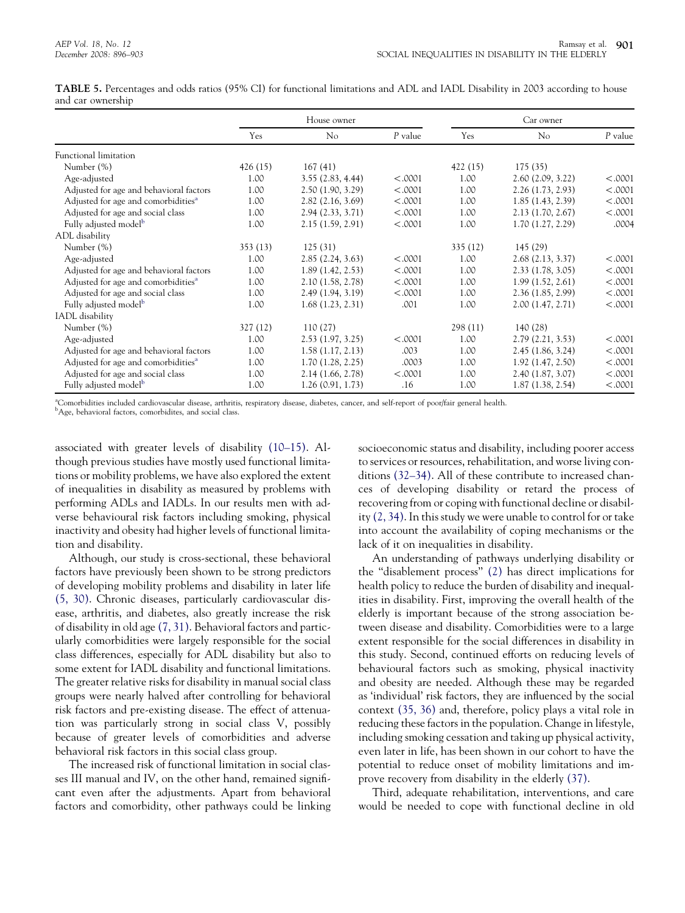|                                                 | House owner |                   |         |          | Car owner         |         |
|-------------------------------------------------|-------------|-------------------|---------|----------|-------------------|---------|
|                                                 | Yes         | No                | P value | Yes      | No                | P value |
| Functional limitation                           |             |                   |         |          |                   |         |
| Number (%)                                      | 426 (15)    | 167(41)           |         | 422 (15) | 175(35)           |         |
| Age-adjusted                                    | 1.00        | 3.55(2.83, 4.44)  | < .0001 | 1.00     | 2.60(2.09, 3.22)  | < .0001 |
| Adjusted for age and behavioral factors         | 1.00        | 2.50 (1.90, 3.29) | < .0001 | 1.00     | 2.26(1.73, 2.93)  | < .0001 |
| Adjusted for age and comorbidities <sup>a</sup> | 1.00        | 2.82 (2.16, 3.69) | < .0001 | 1.00     | 1.85(1.43, 2.39)  | < .0001 |
| Adjusted for age and social class               | 1.00        | 2.94 (2.33, 3.71) | < .0001 | 1.00     | 2.13(1.70, 2.67)  | < .0001 |
| Fully adjusted model <sup>b</sup>               | 1.00        | 2.15(1.59, 2.91)  | < .0001 | 1.00     | 1.70 (1.27, 2.29) | .0004   |
| ADL disability                                  |             |                   |         |          |                   |         |
| Number (%)                                      | 353(13)     | 125(31)           |         | 335 (12) | 145 (29)          |         |
| Age-adjusted                                    | 1.00        | 2.85(2.24, 3.63)  | < .0001 | 1.00     | 2.68(2.13, 3.37)  | < .0001 |
| Adjusted for age and behavioral factors         | 1.00        | 1.89(1.42, 2.53)  | < .0001 | 1.00     | 2.33(1.78, 3.05)  | < .0001 |
| Adjusted for age and comorbidities <sup>a</sup> | 1.00        | 2.10 (1.58, 2.78) | < .0001 | 1.00     | 1.99(1.52, 2.61)  | < .0001 |
| Adjusted for age and social class               | 1.00        | 2.49 (1.94, 3.19) | < .0001 | 1.00     | 2.36(1.85, 2.99)  | < .0001 |
| Fully adjusted model <sup>b</sup>               | 1.00        | 1.68(1.23, 2.31)  | .001    | 1.00     | 2.00(1.47, 2.71)  | < .0001 |
| IADL disability                                 |             |                   |         |          |                   |         |
| Number (%)                                      | 327 (12)    | 110(27)           |         | 298(11)  | 140 (28)          |         |
| Age-adjusted                                    | 1.00        | 2.53(1.97, 3.25)  | < .0001 | 1.00     | 2.79(2.21, 3.53)  | < .0001 |
| Adjusted for age and behavioral factors         | 1.00        | 1.58(1.17, 2.13)  | .003    | 1.00     | 2.45(1.86, 3.24)  | < .0001 |
| Adjusted for age and comorbidities <sup>a</sup> | 1.00        | 1.70(1.28, 2.25)  | .0003   | 1.00     | 1.92 (1.47, 2.50) | < .0001 |
| Adjusted for age and social class               | 1.00        | 2.14 (1.66, 2.78) | < .0001 | 1.00     | 2.40 (1.87, 3.07) | < .0001 |
| Fully adjusted model <sup>b</sup>               | 1.00        | 1.26(0.91, 1.73)  | .16     | 1.00     | 1.87(1.38, 2.54)  | < .0001 |

<span id="page-5-0"></span>TABLE 5. Percentages and odds ratios (95% CI) for functional limitations and ADL and IADL Disability in 2003 according to house and car ownership

a Comorbidities included cardiovascular disease, arthritis, respiratory disease, diabetes, cancer, and self-report of poor/fair general health. <sup>b</sup>Age, behavioral factors, comorbidites, and social class.

associated with greater levels of disability [\(10–15\)](#page-6-0). Although previous studies have mostly used functional limitations or mobility problems, we have also explored the extent of inequalities in disability as measured by problems with performing ADLs and IADLs. In our results men with adverse behavioural risk factors including smoking, physical inactivity and obesity had higher levels of functional limitation and disability.

Although, our study is cross-sectional, these behavioral factors have previously been shown to be strong predictors of developing mobility problems and disability in later life [\(5, 30\)](#page-6-0). Chronic diseases, particularly cardiovascular disease, arthritis, and diabetes, also greatly increase the risk of disability in old age [\(7, 31\)](#page-6-0). Behavioral factors and particularly comorbidities were largely responsible for the social class differences, especially for ADL disability but also to some extent for IADL disability and functional limitations. The greater relative risks for disability in manual social class groups were nearly halved after controlling for behavioral risk factors and pre-existing disease. The effect of attenuation was particularly strong in social class V, possibly because of greater levels of comorbidities and adverse behavioral risk factors in this social class group.

The increased risk of functional limitation in social classes III manual and IV, on the other hand, remained significant even after the adjustments. Apart from behavioral factors and comorbidity, other pathways could be linking socioeconomic status and disability, including poorer access to services or resources, rehabilitation, and worse living conditions [\(32–34\)](#page-7-0). All of these contribute to increased chances of developing disability or retard the process of recovering from or coping with functional decline or disability [\(2, 34\)](#page-6-0). In this study we were unable to control for or take into account the availability of coping mechanisms or the lack of it on inequalities in disability.

An understanding of pathways underlying disability or the ''disablement process'' [\(2\)](#page-6-0) has direct implications for health policy to reduce the burden of disability and inequalities in disability. First, improving the overall health of the elderly is important because of the strong association between disease and disability. Comorbidities were to a large extent responsible for the social differences in disability in this study. Second, continued efforts on reducing levels of behavioural factors such as smoking, physical inactivity and obesity are needed. Although these may be regarded as 'individual' risk factors, they are influenced by the social context [\(35, 36\)](#page-7-0) and, therefore, policy plays a vital role in reducing these factors in the population. Change in lifestyle, including smoking cessation and taking up physical activity, even later in life, has been shown in our cohort to have the potential to reduce onset of mobility limitations and improve recovery from disability in the elderly [\(37\)](#page-7-0).

Third, adequate rehabilitation, interventions, and care would be needed to cope with functional decline in old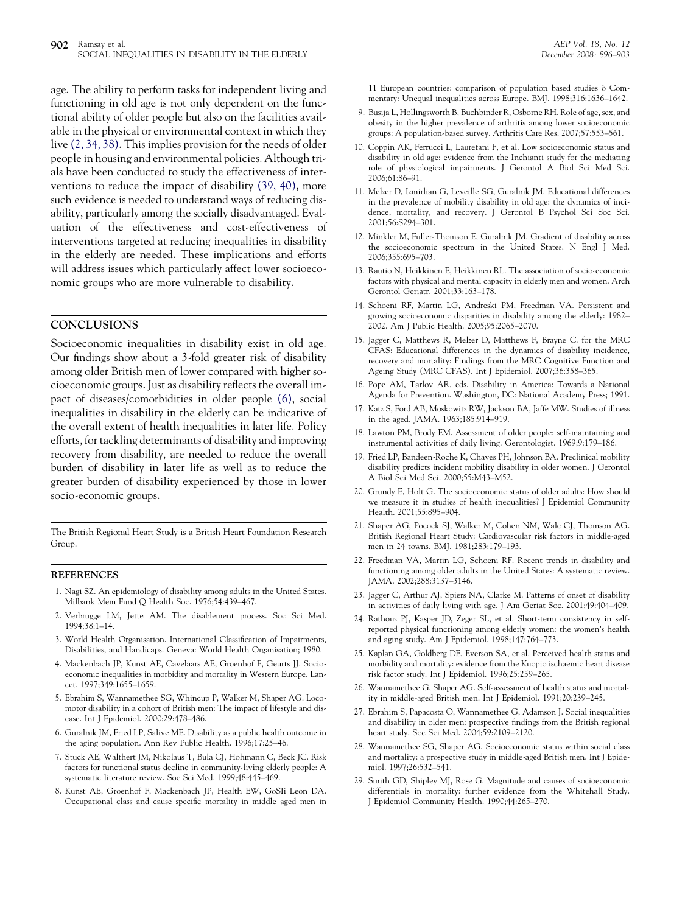<span id="page-6-0"></span>age. The ability to perform tasks for independent living and functioning in old age is not only dependent on the functional ability of older people but also on the facilities available in the physical or environmental context in which they live (2, 34, 38). This implies provision for the needs of older people in housing and environmental policies. Although trials have been conducted to study the effectiveness of interventions to reduce the impact of disability [\(39, 40\),](#page-7-0) more such evidence is needed to understand ways of reducing disability, particularly among the socially disadvantaged. Evaluation of the effectiveness and cost-effectiveness of interventions targeted at reducing inequalities in disability in the elderly are needed. These implications and efforts will address issues which particularly affect lower socioeconomic groups who are more vulnerable to disability.

#### **CONCLUSIONS**

Socioeconomic inequalities in disability exist in old age. Our findings show about a 3-fold greater risk of disability among older British men of lower compared with higher socioeconomic groups. Just as disability reflects the overall impact of diseases/comorbidities in older people (6), social inequalities in disability in the elderly can be indicative of the overall extent of health inequalities in later life. Policy efforts, for tackling determinants of disability and improving recovery from disability, are needed to reduce the overall burden of disability in later life as well as to reduce the greater burden of disability experienced by those in lower socio-economic groups.

The British Regional Heart Study is a British Heart Foundation Research Group.

#### REFERENCES

- 1. Nagi SZ. An epidemiology of disability among adults in the United States. Milbank Mem Fund Q Health Soc. 1976;54:439–467.
- 2. Verbrugge LM, Jette AM. The disablement process. Soc Sci Med. 1994;38:1–14.
- 3. World Health Organisation. International Classification of Impairments, Disabilities, and Handicaps. Geneva: World Health Organisation; 1980.
- 4. Mackenbach JP, Kunst AE, Cavelaars AE, Groenhof F, Geurts JJ. Socioeconomic inequalities in morbidity and mortality in Western Europe. Lancet. 1997;349:1655–1659.
- 5. Ebrahim S, Wannamethee SG, Whincup P, Walker M, Shaper AG. Locomotor disability in a cohort of British men: The impact of lifestyle and disease. Int J Epidemiol. 2000;29:478–486.
- 6. Guralnik JM, Fried LP, Salive ME. Disability as a public health outcome in the aging population. Ann Rev Public Health. 1996;17:25–46.
- 7. Stuck AE, Walthert JM, Nikolaus T, Bula CJ, Hohmann C, Beck JC. Risk factors for functional status decline in community-living elderly people: A systematic literature review. Soc Sci Med. 1999;48:445–469.
- 8. Kunst AE, Groenhof F, Mackenbach JP, Health EW, GoSIi Leon DA. Occupational class and cause specific mortality in middle aged men in

11 European countries: comparison of population based studies  $\delta$  Commentary: Unequal inequalities across Europe. BMJ. 1998;316:1636–1642.

- 9. Busija L, Hollingsworth B, Buchbinder R, Osborne RH. Role of age, sex, and obesity in the higher prevalence of arthritis among lower socioeconomic groups: A population-based survey. Arthritis Care Res. 2007;57:553–561.
- 10. Coppin AK, Ferrucci L, Lauretani F, et al. Low socioeconomic status and disability in old age: evidence from the Inchianti study for the mediating role of physiological impairments. J Gerontol A Biol Sci Med Sci. 2006;61:86–91.
- 11. Melzer D, Izmirlian G, Leveille SG, Guralnik JM. Educational differences in the prevalence of mobility disability in old age: the dynamics of incidence, mortality, and recovery. J Gerontol B Psychol Sci Soc Sci. 2001;56:S294–301.
- 12. Minkler M, Fuller-Thomson E, Guralnik JM. Gradient of disability across the socioeconomic spectrum in the United States. N Engl J Med. 2006;355:695–703.
- 13. Rautio N, Heikkinen E, Heikkinen RL. The association of socio-economic factors with physical and mental capacity in elderly men and women. Arch Gerontol Geriatr. 2001;33:163–178.
- 14. Schoeni RF, Martin LG, Andreski PM, Freedman VA. Persistent and growing socioeconomic disparities in disability among the elderly: 1982– 2002. Am J Public Health. 2005;95:2065–2070.
- 15. Jagger C, Matthews R, Melzer D, Matthews F, Brayne C. for the MRC CFAS: Educational differences in the dynamics of disability incidence, recovery and mortality: Findings from the MRC Cognitive Function and Ageing Study (MRC CFAS). Int J Epidemiol. 2007;36:358–365.
- 16. Pope AM, Tarlov AR, eds. Disability in America: Towards a National Agenda for Prevention. Washington, DC: National Academy Press; 1991.
- 17. Katz S, Ford AB, Moskowitz RW, Jackson BA, Jaffe MW. Studies of illness in the aged. JAMA. 1963;185:914–919.
- 18. Lawton PM, Brody EM. Assessment of older people: self-maintaining and instrumental activities of daily living. Gerontologist. 1969;9:179–186.
- 19. Fried LP, Bandeen-Roche K, Chaves PH, Johnson BA. Preclinical mobility disability predicts incident mobility disability in older women. J Gerontol A Biol Sci Med Sci. 2000;55:M43–M52.
- 20. Grundy E, Holt G. The socioeconomic status of older adults: How should we measure it in studies of health inequalities? J Epidemiol Community Health. 2001;55:895–904.
- 21. Shaper AG, Pocock SJ, Walker M, Cohen NM, Wale CJ, Thomson AG. British Regional Heart Study: Cardiovascular risk factors in middle-aged men in 24 towns. BMJ. 1981;283:179–193.
- 22. Freedman VA, Martin LG, Schoeni RF. Recent trends in disability and functioning among older adults in the United States: A systematic review. JAMA. 2002;288:3137–3146.
- 23. Jagger C, Arthur AJ, Spiers NA, Clarke M. Patterns of onset of disability in activities of daily living with age. J Am Geriat Soc. 2001;49:404–409.
- 24. Rathouz PJ, Kasper JD, Zeger SL, et al. Short-term consistency in selfreported physical functioning among elderly women: the women's health and aging study. Am J Epidemiol. 1998;147:764–773.
- 25. Kaplan GA, Goldberg DE, Everson SA, et al. Perceived health status and morbidity and mortality: evidence from the Kuopio ischaemic heart disease risk factor study. Int J Epidemiol. 1996;25:259–265.
- 26. Wannamethee G, Shaper AG. Self-assessment of health status and mortality in middle-aged British men. Int J Epidemiol. 1991;20:239–245.
- 27. Ebrahim S, Papacosta O, Wannamethee G, Adamson J. Social inequalities and disability in older men: prospective findings from the British regional heart study. Soc Sci Med. 2004;59:2109–2120.
- 28. Wannamethee SG, Shaper AG. Socioeconomic status within social class and mortality: a prospective study in middle-aged British men. Int J Epidemiol. 1997;26:532–541.
- 29. Smith GD, Shipley MJ, Rose G. Magnitude and causes of socioeconomic differentials in mortality: further evidence from the Whitehall Study. J Epidemiol Community Health. 1990;44:265–270.